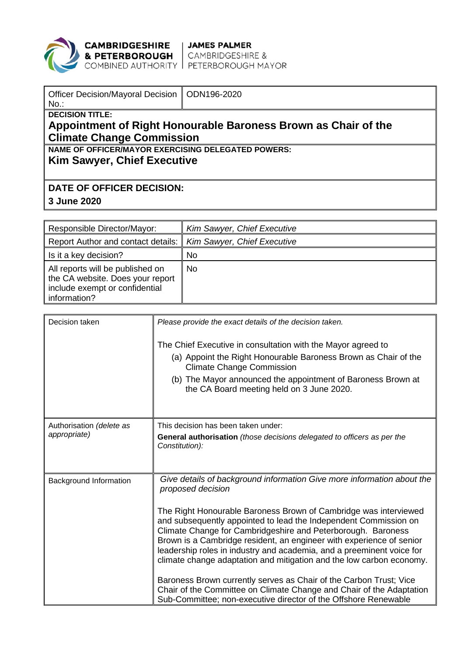

**CAMBRIDGESHIRE** JAMES PALMER<br>**& PETERBOROUGH** CAMBRIDGESHIRE &<br>COMBINED AUTHORITY PETERBOROUGH MAYOR

| Officer Decision/Mayoral Decision   ODN196-2020<br>$No.$ :     |  |  |  |  |
|----------------------------------------------------------------|--|--|--|--|
| <b>DECISION TITLE:</b>                                         |  |  |  |  |
| Appointment of Right Honourable Baroness Brown as Chair of the |  |  |  |  |
| <b>Climate Change Commission</b>                               |  |  |  |  |
| <b>NAME OF OFFICER/MAYOR EXERCISING DELEGATED POWERS:</b>      |  |  |  |  |
| <b>Kim Sawyer, Chief Executive</b>                             |  |  |  |  |
|                                                                |  |  |  |  |
| <b>DATE OF OFFICER DECISION:</b>                               |  |  |  |  |
|                                                                |  |  |  |  |

**3 June 2020**

| Responsible Director/Mayor:                                                                                            | Kim Sawyer, Chief Executive |
|------------------------------------------------------------------------------------------------------------------------|-----------------------------|
| Report Author and contact details:                                                                                     | Kim Sawyer, Chief Executive |
| Is it a key decision?                                                                                                  | No.                         |
| All reports will be published on<br>the CA website. Does your report<br>include exempt or confidential<br>information? | No                          |

| Decision taken                           | Please provide the exact details of the decision taken.<br>The Chief Executive in consultation with the Mayor agreed to<br>(a) Appoint the Right Honourable Baroness Brown as Chair of the<br><b>Climate Change Commission</b><br>(b) The Mayor announced the appointment of Baroness Brown at<br>the CA Board meeting held on 3 June 2020.                                                                                                                                                                                                                                                                                                                                                                                                   |
|------------------------------------------|-----------------------------------------------------------------------------------------------------------------------------------------------------------------------------------------------------------------------------------------------------------------------------------------------------------------------------------------------------------------------------------------------------------------------------------------------------------------------------------------------------------------------------------------------------------------------------------------------------------------------------------------------------------------------------------------------------------------------------------------------|
| Authorisation (delete as<br>appropriate) | This decision has been taken under:<br><b>General authorisation</b> (those decisions delegated to officers as per the<br>Constitution):                                                                                                                                                                                                                                                                                                                                                                                                                                                                                                                                                                                                       |
| Background Information                   | Give details of background information Give more information about the<br>proposed decision<br>The Right Honourable Baroness Brown of Cambridge was interviewed<br>and subsequently appointed to lead the Independent Commission on<br>Climate Change for Cambridgeshire and Peterborough. Baroness<br>Brown is a Cambridge resident, an engineer with experience of senior<br>leadership roles in industry and academia, and a preeminent voice for<br>climate change adaptation and mitigation and the low carbon economy.<br>Baroness Brown currently serves as Chair of the Carbon Trust; Vice<br>Chair of the Committee on Climate Change and Chair of the Adaptation<br>Sub-Committee; non-executive director of the Offshore Renewable |